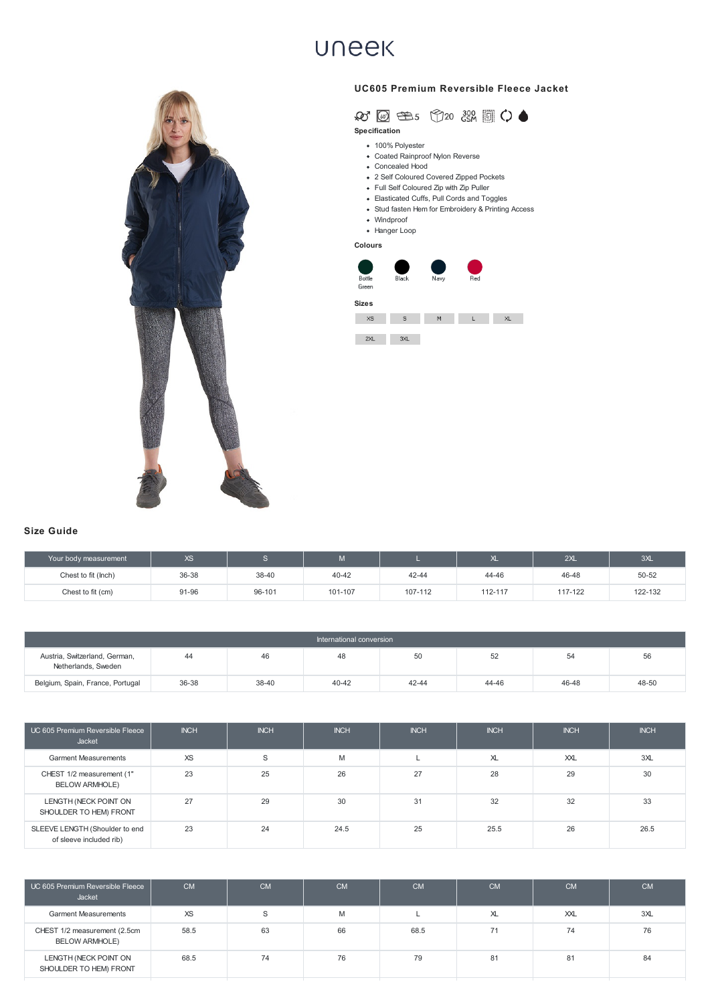- 100% Polyester
- Coated Rainproof Nylon Reverse
- Concealed Hood
- 2 Self Coloured Covered Zipped Pockets
- Full Self Coloured Zip with Zip Puller
- Elasticated Cuffs, Pull Cords and Toggles
- Stud fasten Hem for Embroidery & Printing Access
- Windproof
- Hanger Loop

| Your body measurement | XS    |        | w       |         | $\sim$  | 2XL     | 3XL     |
|-----------------------|-------|--------|---------|---------|---------|---------|---------|
| Chest to fit (lnch)   | 36-38 | 38-40  | 40-42   | 42-44   | 44-46   | 46-48   | 50-52   |
| Chest to fit (cm)     | 91-96 | 96-101 | 101-107 | 107-112 | 112-117 | 117-122 | 122-132 |

| International conversion                             |       |       |       |       |       |       |       |  |  |
|------------------------------------------------------|-------|-------|-------|-------|-------|-------|-------|--|--|
| Austria, Switzerland, German,<br>Netherlands, Sweden | 44    | 46    | 48    | 50    | 52    | 54    | 56    |  |  |
| Belgium, Spain, France, Portugal                     | 36-38 | 38-40 | 40-42 | 42-44 | 44-46 | 46-48 | 48-50 |  |  |

| UC 605 Premium Reversible Fleece<br>Jacket                | <b>INCH</b> | <b>INCH</b> | <b>INCH</b> | <b>INCH</b> | <b>INCH</b>    | <b>INCH</b> | <b>INCH</b> |
|-----------------------------------------------------------|-------------|-------------|-------------|-------------|----------------|-------------|-------------|
| <b>Garment Measurements</b>                               | <b>XS</b>   | S           | M           |             | X <sub>L</sub> | XX          | 3XL         |
| CHEST 1/2 measurement (1"<br><b>BELOW ARMHOLE)</b>        | 23          | 25          | 26          | 27          | 28             | 29          | 30          |
| LENGTH (NECK POINT ON<br>SHOULDER TO HEM) FRONT           | 27          | 29          | 30          | 31          | 32             | 32          | 33          |
| SLEEVE LENGTH (Shoulder to end<br>of sleeve included rib) | 23          | 24          | 24.5        | 25          | 25.5           | 26          | 26.5        |

| UC 605 Premium Reversible Fleece<br>Jacket            | <b>CM</b> | <b>CM</b> | <b>CM</b> | <b>CM</b> | <b>CM</b>      | <b>CM</b> | <b>CM</b> |
|-------------------------------------------------------|-----------|-----------|-----------|-----------|----------------|-----------|-----------|
| <b>Garment Measurements</b>                           | XS        |           | M         |           | X <sub>L</sub> | XXL       | 3XL       |
| CHEST 1/2 measurement (2.5cm<br><b>BELOW ARMHOLE)</b> | 58.5      | 63        | 66        | 68.5      | 71             | 74        | 76        |
| LENGTH (NECK POINT ON<br>SHOULDER TO HEM) FRONT       | 68.5      | 74        | 76        | 79        | 81             | 81        | 84        |
|                                                       |           |           |           |           |                |           |           |

## **UNEEK**





**Specification**



## **Size Guide**